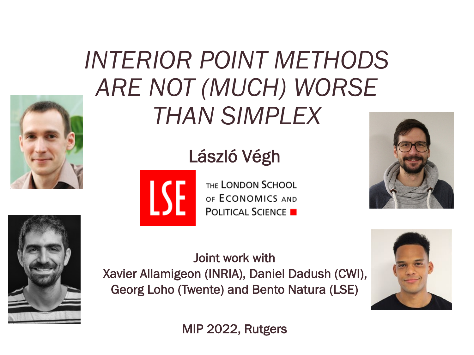

### *INTERIOR POINT METHODS ARE NOT (MUCH) WORSE THAN SIMPLEX*

#### László Végh



THE LONDON SCHOOL OF ECONOMICS AND **POLITICAL SCIENCE** 





Joint work with Xavier Allamigeon (INRIA), Daniel Dadush (CWI), Georg Loho (Twente) and Bento Natura (LSE)



MIP 2022, Rutgers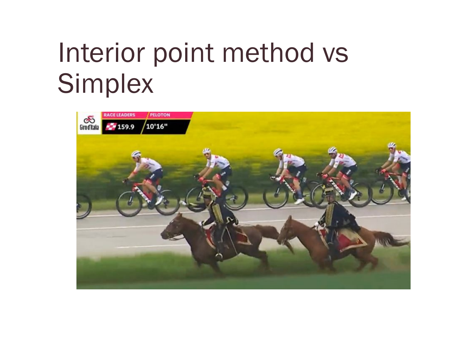## Interior point method vs **Simplex**

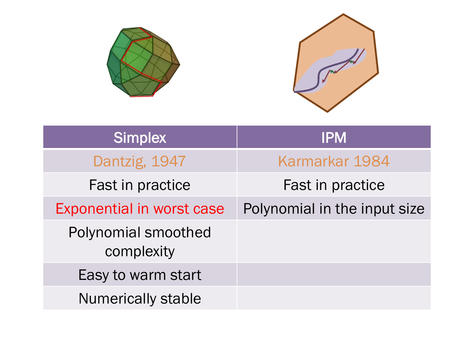

| <b>Simplex</b>                    | <b>IPM</b>                   |
|-----------------------------------|------------------------------|
| Dantzig, 1947                     | Karmarkar 1984               |
| Fast in practice                  | Fast in practice             |
| <b>Exponential in worst case</b>  | Polynomial in the input size |
| Polynomial smoothed<br>complexity |                              |
| Easy to warm start                |                              |
| <b>Numerically stable</b>         |                              |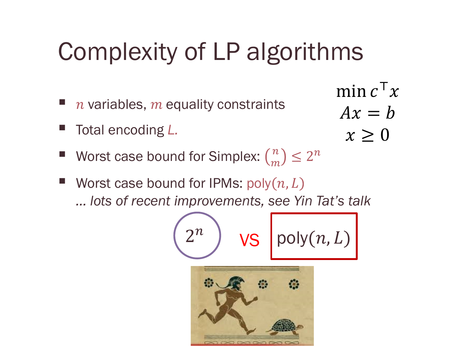### Complexity of LP algorithms

- $n$  variables,  $m$  equality constraints
- § Total encoding *L.*

$$
\min_{Ax} c^{\mathsf{T}} x
$$

$$
Ax = b
$$

$$
x \ge 0
$$

- Worst case bound for Simplex:  $\binom{n}{m}$  ≤ 2<sup>n</sup>
- Worst case bound for IPMs:  $poly(n, L)$ *… lots of recent improvements, see Yin Tat's talk*

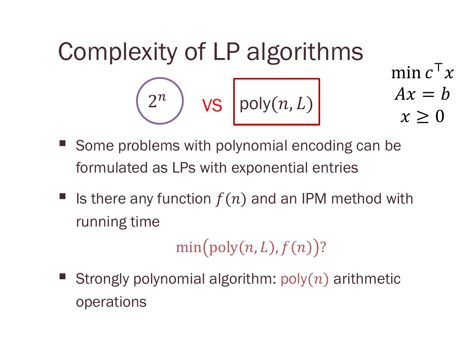Complexity of LP algorithms min  $c^{\mathsf{T}} x$  $Ax = b$  $x \geq 0$  $\left(2^n\right)$  VS  $\bigg| \mathsf{poly}(n,L) \bigg|$ 

- § Some problems with polynomial encoding can be formulated as LPs with exponential entries
- Is there any function  $f(n)$  and an IPM method with running time

 $min(poly(n, L), f(n))$ ?

Strongly polynomial algorithm:  $poly(n)$  arithmetic operations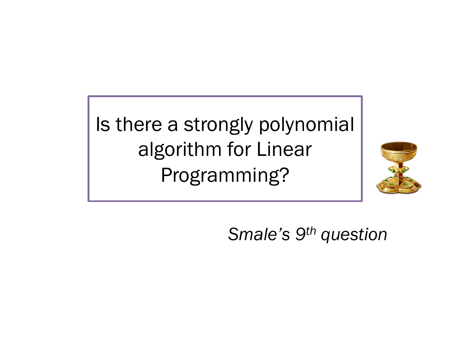Is there a strongly polynomial algorithm for Linear Programming?



*Smale's 9th question*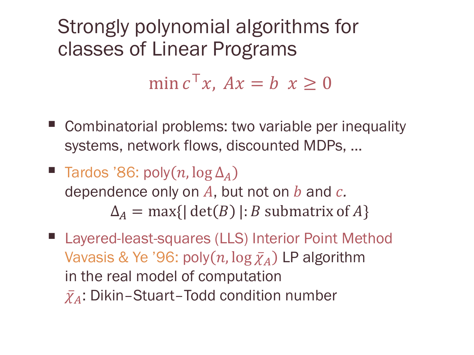Strongly polynomial algorithms for classes of Linear Programs

min  $c^{\top}x$ ,  $Ax = b$   $x \ge 0$ 

- Combinatorial problems: two variable per inequality systems, network flows, discounted MDPs, …
- **F** Tardos '86: poly  $(n, \log \Delta_A)$ dependence only on  $A$ , but not on  $b$  and  $c$ .  $\Delta_A$  = max{| det(*B*) |: *B* submatrix of *A*}
- Layered-least-squares (LLS) Interior Point Method Vavasis & Ye '96: poly $(n, \log \bar{\chi}_A)$  LP algorithm in the real model of computation  $\bar{\chi_A}$ : Dikin–Stuart–Todd condition number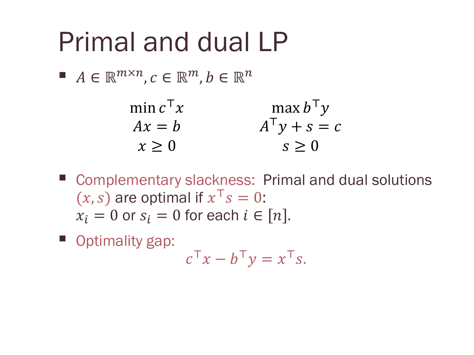## Primal and dual LP

 $A \in \mathbb{R}^{m \times n}, c \in \mathbb{R}^m, b \in \mathbb{R}^n$ 

| min $c^{\mathsf{T}} x$ | $\max b^{\mathsf{T}} y$ |
|------------------------|-------------------------|
| $Ax = h$               | $A^{\dagger} y + s = c$ |
| $x \geq 0$             | $s \geq 0$              |

- Complementary slackness: Primal and dual solutions  $(x, s)$  are optimal if  $x^T s = 0$ :  $x_i = 0$  or  $s_i = 0$  for each  $i \in [n]$ .
- Optimality gap:

 $c^{\mathsf{T}} x - b^{\mathsf{T}} y = x^{\mathsf{T}} s.$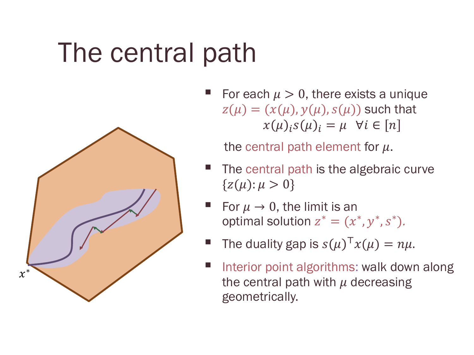# The central path



For each  $\mu > 0$ , there exists a unique  $z(\mu) = (x(\mu), y(\mu), s(\mu))$  such that  $x(\mu)_i s(\mu)_i = \mu \ \forall i \in [n]$ 

the central path element for  $\mu$ .

- The central path is the algebraic curve  ${z(\mu): \mu > 0}$
- For  $\mu \rightarrow 0$ , the limit is an optimal solution  $z^* = (x^*, y^*, s^*)$ .
- The duality gap is  $s(\mu)^{\top} x(\mu) = n\mu$ .
- § Interior point algorithms: walk down along the central path with  $\mu$  decreasing geometrically.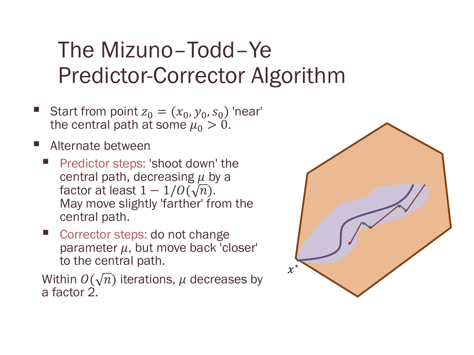#### The Mizuno–Todd–Ye Predictor-Corrector Algorithm

- Start from point  $z_0 = (x_0, y_0, s_0)$  'near' the central path at some  $\mu_0 > 0$ .
- § Alternate between
	- § Predictor steps: 'shoot down' the central path, decreasing  $\mu$  by a factor at least  $1 - 1/O(\sqrt{n})$ . May move slightly 'farther' from the central path.
	- Corrector steps: do not change parameter  $\mu$ , but move back 'closer' to the central path.

Within  $O(\sqrt{n})$  iterations,  $\mu$  decreases by a factor 2.

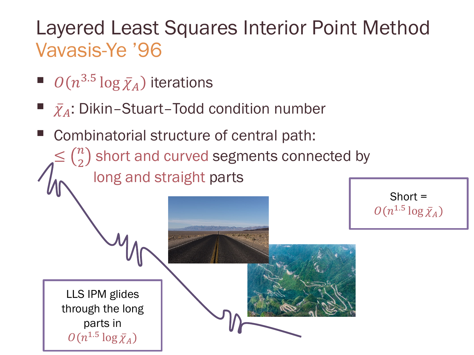#### Layered Least Squares Interior Point Method Vavasis-Ye '96

■  $O(n^{3.5} \log \bar{\chi}_A)$  iterations

parts in

 $O(n^{1.5} \log \bar{\chi}_A)$ 

- $\bar{\chi}_A$ : Dikin-Stuart-Todd condition number
- Combinatorial structure of central path:  $\leq {n \choose 2}$  short and curved segments connected by long and straight parts Short =  $O(n^{1.5} \log \bar{\chi}_A)$ LLS IPM glides through the long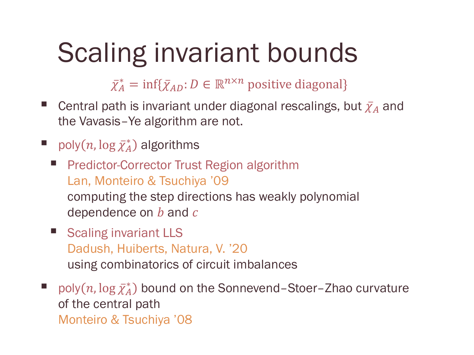### Scaling invariant bounds

 $\bar{\chi}_A^*$  $\bar{A}$  = inf{ $\bar{\chi}_{AD}$ : D ∈  $\mathbb{R}^{n \times n}$  positive diagonal}

- E Central path is invariant under diagonal rescalings, but  $\bar{\chi}_A$  and the Vavasis–Ye algorithm are not.
- poly $(n, \log \bar{\chi}_A^*)$  algorithms
	- § Predictor-Corrector Trust Region algorithm Lan, Monteiro & Tsuchiya '09 computing the step directions has weakly polynomial dependence on  $b$  and  $c$
	- Scaling invariant LLS Dadush, Huiberts, Natura, V. '20 using combinatorics of circuit imbalances

■ poly $(n, \log \bar{\chi}_A^*)$  bound on the Sonnevend-Stoer-Zhao curvature of the central path Monteiro & Tsuchiya '08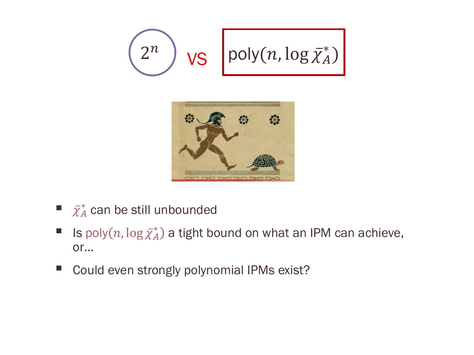



- $\bar{\chi}^*_A$  can be still unbounded
- Is poly $(n, \log \bar{\chi}_A^*)$  a tight bound on what an IPM can achieve, or…
- Could even strongly polynomial IPMs exist?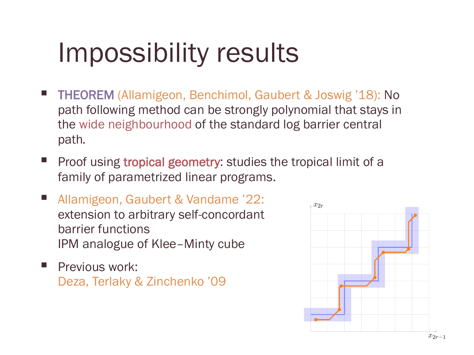# Impossibility results

- § THEOREM (Allamigeon, Benchimol, Gaubert & Joswig '18): No path following method can be strongly polynomial that stays in the wide neighbourhood of the standard log barrier central path*.*
- **•** Proof using tropical geometry: studies the tropical limit of a family of parametrized linear programs.
- Allamigeon, Gaubert & Vandame '22: extension to arbitrary self-concordant barrier functions IPM analogue of Klee–Minty cube
- Previous work: Deza, Terlaky & Zinchenko '09

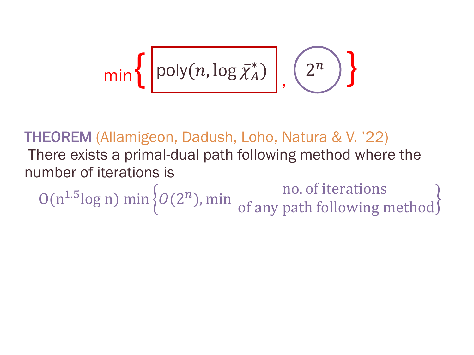$$
\min\left\{\left[\text{poly}(n,\log \bar{\chi}_A^*)\right],\left(2^n\right)\right\}
$$

THEOREM (Allamigeon, Dadush, Loho, Natura & V. '22) There exists a primal-dual path following method where the number of iterations is  $O(n^{1.5} \log n) \min \big\{ O(2^n)$ , min  $\big\{ \text{of any path follows } r \in \mathbb{R}^n \big\}$ 

of any path following method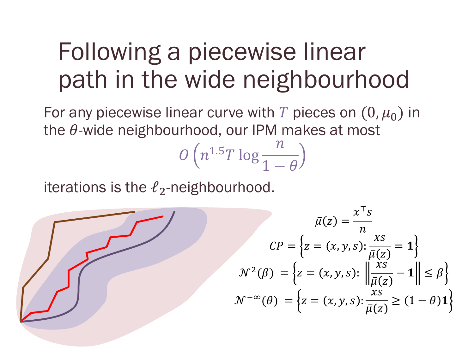#### Following a piecewise linear path in the wide neighbourhood

For any piecewise linear curve with T pieces on  $(0, \mu_0)$  in the  $\theta$ -wide neighbourhood, our IPM makes at most

$$
O\left(n^{1.5}T\log\frac{n}{1-\theta}\right)
$$

iterations is the  $\ell_2$ -neighbourhood.

$$
\bar{\mu}(z) = \frac{x^{\top} s}{n}
$$

$$
CP = \left\{ z = (x, y, s) : \frac{x s}{\bar{\mu}(z)} = 1 \right\}
$$

$$
\mathcal{N}^2(\beta) = \left\{ z = (x, y, s) : \left\| \frac{x s}{\bar{\mu}(z)} - 1 \right\| \le \beta \right\}
$$

$$
\mathcal{N}^{-\infty}(\theta) = \left\{ z = (x, y, s) : \frac{x s}{\bar{\mu}(z)} \ge (1 - \theta) 1 \right\}
$$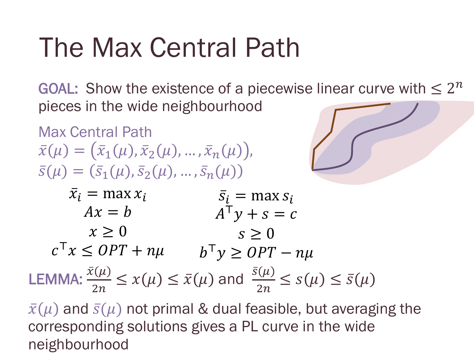# The Max Central Path

GOAL: Show the existence of a piecewise linear curve with  $\leq 2^n$ pieces in the wide neighbourhood

Max Central Path  $\bar{x}(\mu) = (\bar{x}_1(\mu), \bar{x}_2(\mu), ..., \bar{x}_n(\mu)),$  $\bar{S}(\mu) = (\bar{S}_1(\mu), \bar{S}_2(\mu), ..., \bar{S}_n(\mu))$ 



 $\bar{x}_i$  = max  $x_i$  $Ax = b$  $x \geq 0$  $c^{\top}x \leq OPT + n\mu$   $b^{\top}y \geq OPT - n\mu$  $\bar{s}_i$  = max  $s_i$  $A^{\mathsf{T}}y + s = c$  $s \geq 0$ **LEMMA:**  $\frac{\bar{x}(\mu)}{2n} \leq x(\mu) \leq \bar{x}(\mu)$  and  $\frac{\bar{s}(\mu)}{2n} \leq s(\mu) \leq \bar{s}(\mu)$ 

 $\bar{x}(\mu)$  and  $\bar{s}(\mu)$  not primal & dual feasible, but averaging the corresponding solutions gives a PL curve in the wide neighbourhood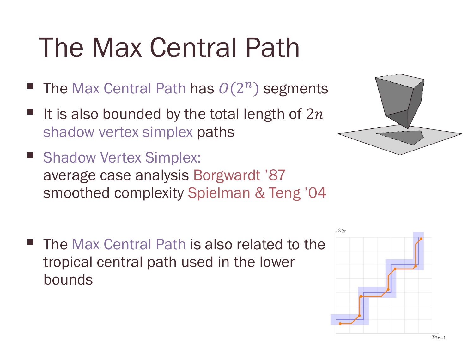# The Max Central Path

- The Max Central Path has  $O(2^n)$  segments
- It is also bounded by the total length of  $2n$ shadow vertex simplex paths
- Shadow Vertex Simplex: average case analysis Borgwardt '87 smoothed complexity Spielman & Teng '04
- The Max Central Path is also related to the tropical central path used in the lower bounds



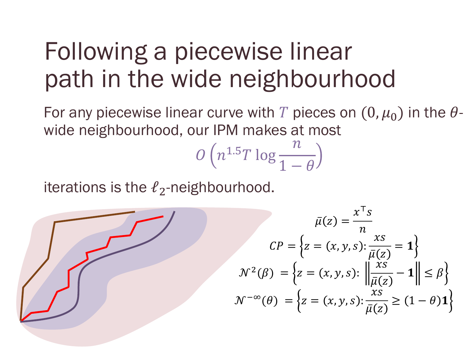### Following a piecewise linear path in the wide neighbourhood

For any piecewise linear curve with T pieces on  $(0, \mu_0)$  in the  $\theta$ wide neighbourhood, our IPM makes at most

$$
O\left(n^{1.5}T\log\frac{n}{1-\theta}\right)
$$

iterations is the  $\ell_2$ -neighbourhood.

$$
\bar{\mu}(z) = \frac{x^{\top} s}{n}
$$

$$
CP = \left\{ z = (x, y, s) : \frac{x s}{\bar{\mu}(z)} = \mathbf{1} \right\}
$$

$$
\mathcal{N}^2(\beta) = \left\{ z = (x, y, s) : \left\| \frac{x s}{\bar{\mu}(z)} - \mathbf{1} \right\| \le \beta \right\}
$$

$$
\mathcal{N}^{-\infty}(\theta) = \left\{ z = (x, y, s) : \frac{x s}{\bar{\mu}(z)} \ge (1 - \theta) \mathbf{1} \right\}
$$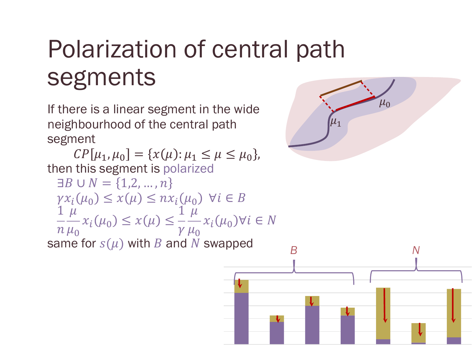## Polarization of central path segments

If there is a linear segment in the wide neighbourhood of the central path segment

 $\mathcal{CP}[\mu_1, \mu_0] = \{x(\mu): \mu_1 \leq \mu \leq \mu_0\},\$ then this segment is polarized  $\exists B \cup N = \{1, 2, ..., n\}$  $\gamma x_i(\mu_0) \leq x(\mu) \leq n x_i(\mu_0) \ \forall i \in B$ 1  $\overline{n}$  $\mu$  $\mu_{0}$  $x_i(\mu_0) \leq x(\mu) \leq$ 1  $\gamma$  $\breve{\mu}$  $\mu_{0}$  $x_i(\mu_0) \forall i \in \mathbb{N}$ same for  $s(\mu)$  with B and N swapped



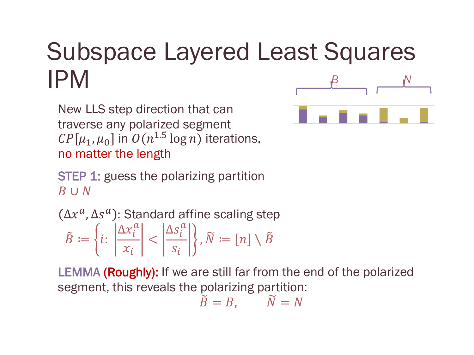#### Subspace Layered Least Squares IPM *B N*

New LLS step direction that can traverse any polarized segment  $\mathcal{C}P[\mu_1, \mu_0]$  in  $\mathcal{O}(n^{1.5}\log n)$  iterations, no matter the length

STEP 1: guess the polarizing partition B ∪ N

 $\Delta x^a$ ,  $\Delta s^a)$ : Standard affine scaling step  $\tilde{B} \coloneqq \{i:$  $\Delta x_i^a$  $x_i$  $\lt$  $\Delta s_i^a$  $S_i$ ,  $\widetilde{N} \coloneqq [n] \setminus \widetilde{B}$ 

LEMMA (Roughly): If we are still far from the end of the polarized segment, this reveals the polarizing partition:

$$
\tilde{B}=B,\qquad \tilde{N}=N
$$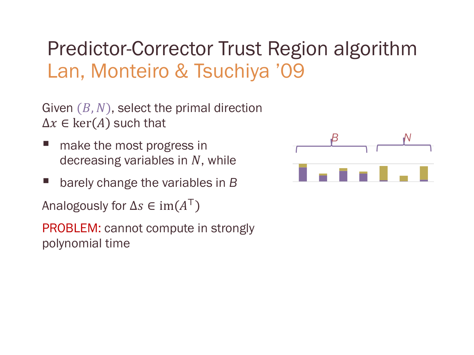#### Predictor-Corrector Trust Region algorithm Lan, Monteiro & Tsuchiya '09

Given  $(B, N)$ , select the primal direction  $\Delta x \in \text{ker}(A)$  such that

- § make the most progress in decreasing variables in  $N$ , while
- § barely change the variables in *B*

Analogously for  $\Delta s \in \text{im}(A^{\mathsf{T}})$ 

PROBLEM: cannot compute in strongly polynomial time

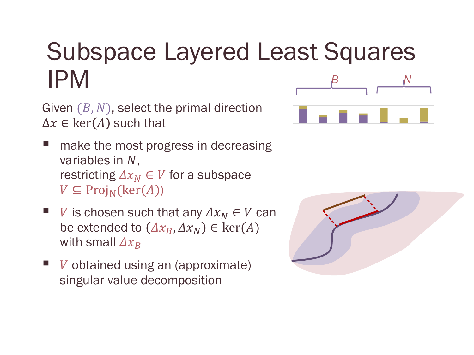### Subspace Layered Least Squares  $P$ M *B N*

Given  $(B, N)$ , select the primal direction  $\Delta x \in \text{ker}(A)$  such that

- make the most progress in decreasing variables in  $N$ . restricting  $\Delta x_N \in V$  for a subspace  $V \subseteq \text{Proj}_{N}(\text{ker}(A))$
- V is chosen such that any  $\Delta x_N \in V$  can be extended to  $(\Delta x_B, \Delta x_N) \in \text{ker}(A)$ with small  $\Delta x_R$
- $$ singular value decomposition



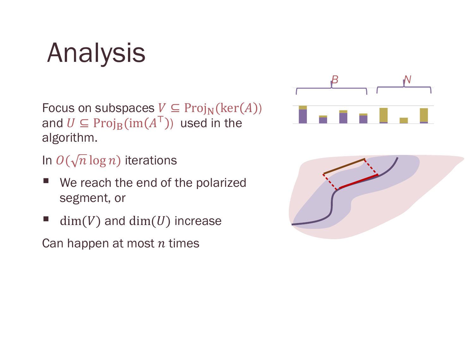## Analysis

Focus on subspaces  $V \subseteq \text{Proj}_{N}(\text{ker}(A))$ and  $U \subseteq \mathrm{Proj}_{B}(\mathrm{im}(A^{T}))$  used in the algorithm.

In  $O(\sqrt{n}\log n)$  iterations

- We reach the end of the polarized segment, or
- $\blacksquare$  dim(V) and dim(U) increase

Can happen at most  $n$  times



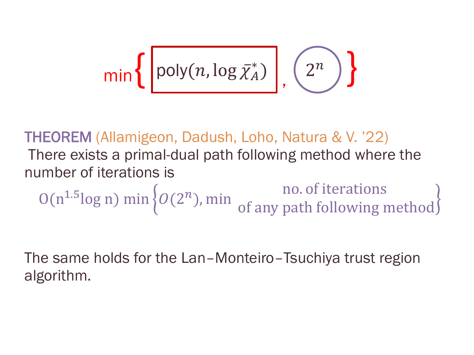$$
\min\left\{\left[\text{poly}(n,\log\bar{\chi}_A^*)\right],\left(2^n\right)\right\}
$$

THEOREM (Allamigeon, Dadush, Loho, Natura & V. '22) There exists a primal-dual path following method where the number of iterations is  $O(n^{1.5} \log n) \min \big\{ O(2^n)$ , min  $\big\{ \text{of any path follows } r \in \mathbb{R}^n \big\}$ of any path following method

The same holds for the Lan–Monteiro–Tsuchiya trust region algorithm.